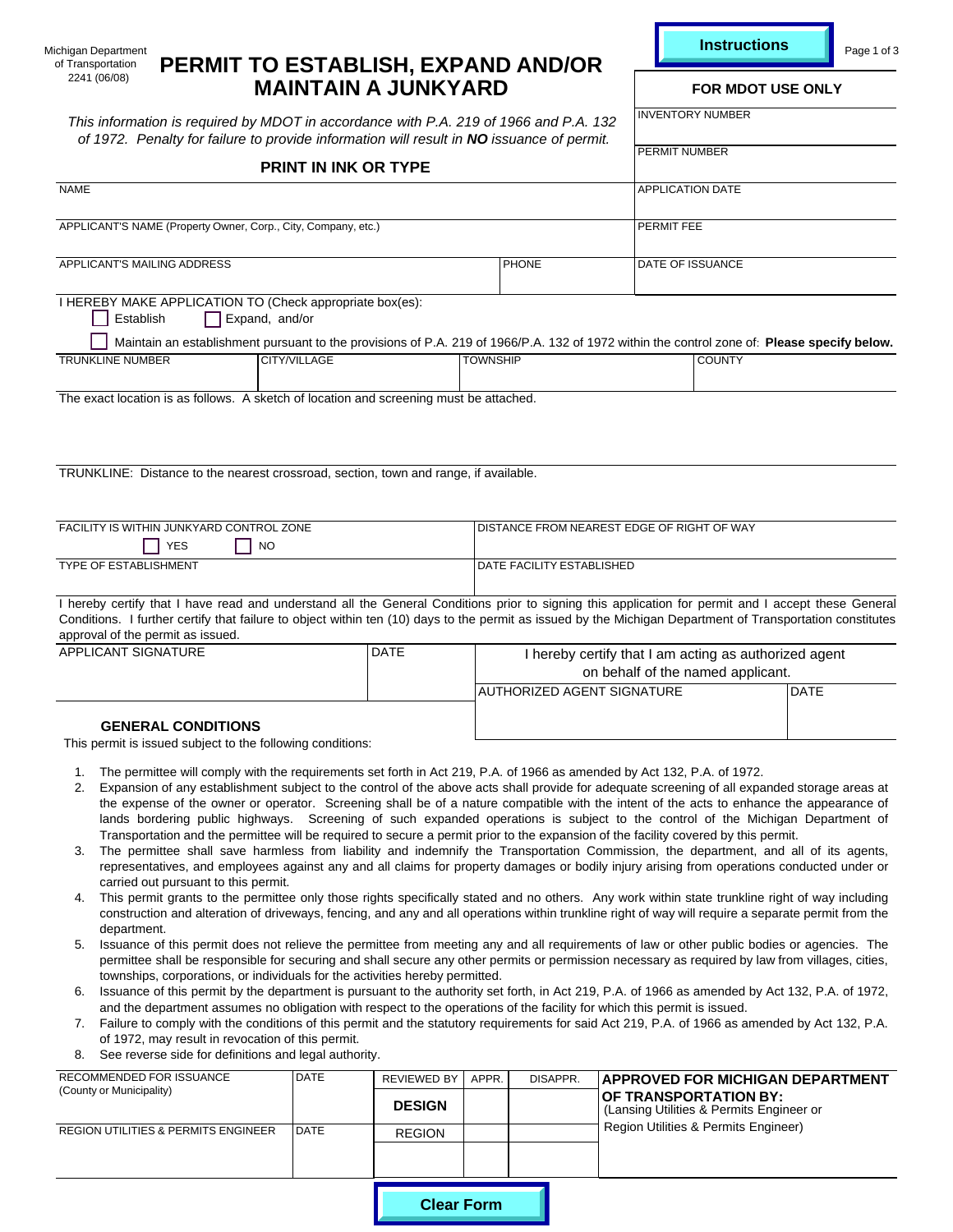|  | <b>Instruction</b> |  |  |  |
|--|--------------------|--|--|--|
|  |                    |  |  |  |

of Transportation<br>2241 (06/08)

# Michigan Department PERMIT TO ESTABLISH, EXPAND AND/OR<br>2241 (06/08) **PERMIT TO ESTABLISH, EXPAND AND/OR MAINTAIN A JUNKYARD** FOR MDOT USE ONLY

| ichigan Department<br>PERMIT TO ESTABLISH, EXPAND AND/OR<br>of Transportation                                                                                                                                                                                                                                                                                                                                                                                                                                                                                                                                                                                                                                                                                                                                                                                                                                                                                                                                                                                                                                                                                                                                                                                                                                                                                                                                                                                                                                                                                                                                                                                                                                                                                                                                                                                                                                                                                                                                                                                                                                                                                                                                                                                     |                                     |                          |                                                                                                                                                                                                                                                                                                                                                                                                                 |                                            |                                                                                                       | <b>Instructions</b> |      | Page 1 of 3 |  |
|-------------------------------------------------------------------------------------------------------------------------------------------------------------------------------------------------------------------------------------------------------------------------------------------------------------------------------------------------------------------------------------------------------------------------------------------------------------------------------------------------------------------------------------------------------------------------------------------------------------------------------------------------------------------------------------------------------------------------------------------------------------------------------------------------------------------------------------------------------------------------------------------------------------------------------------------------------------------------------------------------------------------------------------------------------------------------------------------------------------------------------------------------------------------------------------------------------------------------------------------------------------------------------------------------------------------------------------------------------------------------------------------------------------------------------------------------------------------------------------------------------------------------------------------------------------------------------------------------------------------------------------------------------------------------------------------------------------------------------------------------------------------------------------------------------------------------------------------------------------------------------------------------------------------------------------------------------------------------------------------------------------------------------------------------------------------------------------------------------------------------------------------------------------------------------------------------------------------------------------------------------------------|-------------------------------------|--------------------------|-----------------------------------------------------------------------------------------------------------------------------------------------------------------------------------------------------------------------------------------------------------------------------------------------------------------------------------------------------------------------------------------------------------------|--------------------------------------------|-------------------------------------------------------------------------------------------------------|---------------------|------|-------------|--|
| 2241 (06/08)<br><b>MAINTAIN A JUNKYARD</b>                                                                                                                                                                                                                                                                                                                                                                                                                                                                                                                                                                                                                                                                                                                                                                                                                                                                                                                                                                                                                                                                                                                                                                                                                                                                                                                                                                                                                                                                                                                                                                                                                                                                                                                                                                                                                                                                                                                                                                                                                                                                                                                                                                                                                        |                                     | <b>FOR MDOT USE ONLY</b> |                                                                                                                                                                                                                                                                                                                                                                                                                 |                                            |                                                                                                       |                     |      |             |  |
| This information is required by MDOT in accordance with P.A. 219 of 1966 and P.A. 132<br>of 1972. Penalty for failure to provide information will result in NO issuance of permit.                                                                                                                                                                                                                                                                                                                                                                                                                                                                                                                                                                                                                                                                                                                                                                                                                                                                                                                                                                                                                                                                                                                                                                                                                                                                                                                                                                                                                                                                                                                                                                                                                                                                                                                                                                                                                                                                                                                                                                                                                                                                                |                                     |                          | <b>INVENTORY NUMBER</b>                                                                                                                                                                                                                                                                                                                                                                                         |                                            |                                                                                                       |                     |      |             |  |
|                                                                                                                                                                                                                                                                                                                                                                                                                                                                                                                                                                                                                                                                                                                                                                                                                                                                                                                                                                                                                                                                                                                                                                                                                                                                                                                                                                                                                                                                                                                                                                                                                                                                                                                                                                                                                                                                                                                                                                                                                                                                                                                                                                                                                                                                   | <b>PRINT IN INK OR TYPE</b>         |                          |                                                                                                                                                                                                                                                                                                                                                                                                                 |                                            |                                                                                                       | PERMIT NUMBER       |      |             |  |
| <b>NAME</b>                                                                                                                                                                                                                                                                                                                                                                                                                                                                                                                                                                                                                                                                                                                                                                                                                                                                                                                                                                                                                                                                                                                                                                                                                                                                                                                                                                                                                                                                                                                                                                                                                                                                                                                                                                                                                                                                                                                                                                                                                                                                                                                                                                                                                                                       |                                     | <b>APPLICATION DATE</b>  |                                                                                                                                                                                                                                                                                                                                                                                                                 |                                            |                                                                                                       |                     |      |             |  |
| APPLICANT'S NAME (Property Owner, Corp., City, Company, etc.)                                                                                                                                                                                                                                                                                                                                                                                                                                                                                                                                                                                                                                                                                                                                                                                                                                                                                                                                                                                                                                                                                                                                                                                                                                                                                                                                                                                                                                                                                                                                                                                                                                                                                                                                                                                                                                                                                                                                                                                                                                                                                                                                                                                                     |                                     |                          |                                                                                                                                                                                                                                                                                                                                                                                                                 | PERMIT FEE                                 |                                                                                                       |                     |      |             |  |
| APPLICANT'S MAILING ADDRESS                                                                                                                                                                                                                                                                                                                                                                                                                                                                                                                                                                                                                                                                                                                                                                                                                                                                                                                                                                                                                                                                                                                                                                                                                                                                                                                                                                                                                                                                                                                                                                                                                                                                                                                                                                                                                                                                                                                                                                                                                                                                                                                                                                                                                                       |                                     |                          | <b>PHONE</b>                                                                                                                                                                                                                                                                                                                                                                                                    |                                            | DATE OF ISSUANCE                                                                                      |                     |      |             |  |
| I HEREBY MAKE APPLICATION TO (Check appropriate box(es):<br>Establish                                                                                                                                                                                                                                                                                                                                                                                                                                                                                                                                                                                                                                                                                                                                                                                                                                                                                                                                                                                                                                                                                                                                                                                                                                                                                                                                                                                                                                                                                                                                                                                                                                                                                                                                                                                                                                                                                                                                                                                                                                                                                                                                                                                             | Expand, and/or                      |                          |                                                                                                                                                                                                                                                                                                                                                                                                                 |                                            |                                                                                                       |                     |      |             |  |
| Maintain an establishment pursuant to the provisions of P.A. 219 of 1966/P.A. 132 of 1972 within the control zone of: Please specify below.<br><b>TRUNKLINE NUMBER</b>                                                                                                                                                                                                                                                                                                                                                                                                                                                                                                                                                                                                                                                                                                                                                                                                                                                                                                                                                                                                                                                                                                                                                                                                                                                                                                                                                                                                                                                                                                                                                                                                                                                                                                                                                                                                                                                                                                                                                                                                                                                                                            | CITY/VILLAGE                        |                          | <b>TOWNSHIP</b>                                                                                                                                                                                                                                                                                                                                                                                                 |                                            |                                                                                                       | <b>COUNTY</b>       |      |             |  |
| The exact location is as follows. A sketch of location and screening must be attached.                                                                                                                                                                                                                                                                                                                                                                                                                                                                                                                                                                                                                                                                                                                                                                                                                                                                                                                                                                                                                                                                                                                                                                                                                                                                                                                                                                                                                                                                                                                                                                                                                                                                                                                                                                                                                                                                                                                                                                                                                                                                                                                                                                            |                                     |                          |                                                                                                                                                                                                                                                                                                                                                                                                                 |                                            |                                                                                                       |                     |      |             |  |
| TRUNKLINE: Distance to the nearest crossroad, section, town and range, if available.                                                                                                                                                                                                                                                                                                                                                                                                                                                                                                                                                                                                                                                                                                                                                                                                                                                                                                                                                                                                                                                                                                                                                                                                                                                                                                                                                                                                                                                                                                                                                                                                                                                                                                                                                                                                                                                                                                                                                                                                                                                                                                                                                                              |                                     |                          |                                                                                                                                                                                                                                                                                                                                                                                                                 |                                            |                                                                                                       |                     |      |             |  |
| FACILITY IS WITHIN JUNKYARD CONTROL ZONE<br>YES                                                                                                                                                                                                                                                                                                                                                                                                                                                                                                                                                                                                                                                                                                                                                                                                                                                                                                                                                                                                                                                                                                                                                                                                                                                                                                                                                                                                                                                                                                                                                                                                                                                                                                                                                                                                                                                                                                                                                                                                                                                                                                                                                                                                                   | <b>NO</b>                           |                          |                                                                                                                                                                                                                                                                                                                                                                                                                 | DISTANCE FROM NEAREST EDGE OF RIGHT OF WAY |                                                                                                       |                     |      |             |  |
| TYPE OF ESTABLISHMENT                                                                                                                                                                                                                                                                                                                                                                                                                                                                                                                                                                                                                                                                                                                                                                                                                                                                                                                                                                                                                                                                                                                                                                                                                                                                                                                                                                                                                                                                                                                                                                                                                                                                                                                                                                                                                                                                                                                                                                                                                                                                                                                                                                                                                                             |                                     |                          |                                                                                                                                                                                                                                                                                                                                                                                                                 | DATE FACILITY ESTABLISHED                  |                                                                                                       |                     |      |             |  |
| approval of the permit as issued.<br>APPLICANT SIGNATURE                                                                                                                                                                                                                                                                                                                                                                                                                                                                                                                                                                                                                                                                                                                                                                                                                                                                                                                                                                                                                                                                                                                                                                                                                                                                                                                                                                                                                                                                                                                                                                                                                                                                                                                                                                                                                                                                                                                                                                                                                                                                                                                                                                                                          | <b>DATE</b>                         |                          | I hereby certify that I have read and understand all the General Conditions prior to signing this application for permit and I accept these General<br>Conditions. I further certify that failure to object within ten (10) days to the permit as issued by the Michigan Department of Transportation constitutes<br>I hereby certify that I am acting as authorized agent<br>on behalf of the named applicant. |                                            |                                                                                                       |                     |      |             |  |
| <b>GENERAL CONDITIONS</b>                                                                                                                                                                                                                                                                                                                                                                                                                                                                                                                                                                                                                                                                                                                                                                                                                                                                                                                                                                                                                                                                                                                                                                                                                                                                                                                                                                                                                                                                                                                                                                                                                                                                                                                                                                                                                                                                                                                                                                                                                                                                                                                                                                                                                                         |                                     |                          |                                                                                                                                                                                                                                                                                                                                                                                                                 | AUTHORIZED AGENT SIGNATURE                 |                                                                                                       |                     | DATE |             |  |
| This permit is issued subject to the following conditions:                                                                                                                                                                                                                                                                                                                                                                                                                                                                                                                                                                                                                                                                                                                                                                                                                                                                                                                                                                                                                                                                                                                                                                                                                                                                                                                                                                                                                                                                                                                                                                                                                                                                                                                                                                                                                                                                                                                                                                                                                                                                                                                                                                                                        |                                     |                          |                                                                                                                                                                                                                                                                                                                                                                                                                 |                                            |                                                                                                       |                     |      |             |  |
| The permittee will comply with the requirements set forth in Act 219, P.A. of 1966 as amended by Act 132, P.A. of 1972.<br>1.<br>2.<br>Expansion of any establishment subject to the control of the above acts shall provide for adequate screening of all expanded storage areas at<br>the expense of the owner or operator. Screening shall be of a nature compatible with the intent of the acts to enhance the appearance of<br>lands bordering public highways. Screening of such expanded operations is subject to the control of the Michigan Department of<br>Transportation and the permittee will be required to secure a permit prior to the expansion of the facility covered by this permit.<br>The permittee shall save harmless from liability and indemnify the Transportation Commission, the department, and all of its agents,<br>3.<br>representatives, and employees against any and all claims for property damages or bodily injury arising from operations conducted under or<br>carried out pursuant to this permit.<br>This permit grants to the permittee only those rights specifically stated and no others. Any work within state trunkline right of way including<br>4.<br>construction and alteration of driveways, fencing, and any and all operations within trunkline right of way will require a separate permit from the<br>department.<br>5. Issuance of this permit does not relieve the permittee from meeting any and all requirements of law or other public bodies or agencies. The<br>permittee shall be responsible for securing and shall secure any other permits or permission necessary as required by law from villages, cities,<br>townships, corporations, or individuals for the activities hereby permitted.<br>Issuance of this permit by the department is pursuant to the authority set forth, in Act 219, P.A. of 1966 as amended by Act 132, P.A. of 1972,<br>6.<br>and the department assumes no obligation with respect to the operations of the facility for which this permit is issued.<br>7. Failure to comply with the conditions of this permit and the statutory requirements for said Act 219, P.A. of 1966 as amended by Act 132, P.A.<br>of 1972, may result in revocation of this permit. |                                     |                          |                                                                                                                                                                                                                                                                                                                                                                                                                 |                                            |                                                                                                       |                     |      |             |  |
| See reverse side for definitions and legal authority.<br>8.                                                                                                                                                                                                                                                                                                                                                                                                                                                                                                                                                                                                                                                                                                                                                                                                                                                                                                                                                                                                                                                                                                                                                                                                                                                                                                                                                                                                                                                                                                                                                                                                                                                                                                                                                                                                                                                                                                                                                                                                                                                                                                                                                                                                       | <b>DATE</b>                         |                          |                                                                                                                                                                                                                                                                                                                                                                                                                 |                                            |                                                                                                       |                     |      |             |  |
| RECOMMENDED FOR ISSUANCE<br>(County or Municipality)                                                                                                                                                                                                                                                                                                                                                                                                                                                                                                                                                                                                                                                                                                                                                                                                                                                                                                                                                                                                                                                                                                                                                                                                                                                                                                                                                                                                                                                                                                                                                                                                                                                                                                                                                                                                                                                                                                                                                                                                                                                                                                                                                                                                              | <b>REVIEWED BY</b><br><b>DESIGN</b> | APPR.                    | DISAPPR.                                                                                                                                                                                                                                                                                                                                                                                                        |                                            | APPROVED FOR MICHIGAN DEPARTMENT<br>OF TRANSPORTATION BY:<br>(Lansing Utilities & Permits Engineer or |                     |      |             |  |
| REGION UTILITIES & PERMITS ENGINEER                                                                                                                                                                                                                                                                                                                                                                                                                                                                                                                                                                                                                                                                                                                                                                                                                                                                                                                                                                                                                                                                                                                                                                                                                                                                                                                                                                                                                                                                                                                                                                                                                                                                                                                                                                                                                                                                                                                                                                                                                                                                                                                                                                                                                               | <b>REGION</b>                       |                          |                                                                                                                                                                                                                                                                                                                                                                                                                 |                                            | Region Utilities & Permits Engineer)                                                                  |                     |      |             |  |
|                                                                                                                                                                                                                                                                                                                                                                                                                                                                                                                                                                                                                                                                                                                                                                                                                                                                                                                                                                                                                                                                                                                                                                                                                                                                                                                                                                                                                                                                                                                                                                                                                                                                                                                                                                                                                                                                                                                                                                                                                                                                                                                                                                                                                                                                   |                                     |                          |                                                                                                                                                                                                                                                                                                                                                                                                                 |                                            |                                                                                                       |                     |      |             |  |
|                                                                                                                                                                                                                                                                                                                                                                                                                                                                                                                                                                                                                                                                                                                                                                                                                                                                                                                                                                                                                                                                                                                                                                                                                                                                                                                                                                                                                                                                                                                                                                                                                                                                                                                                                                                                                                                                                                                                                                                                                                                                                                                                                                                                                                                                   |                                     | <b>Clear Form</b>        |                                                                                                                                                                                                                                                                                                                                                                                                                 |                                            |                                                                                                       |                     |      |             |  |

- The permittee will comply with the requirements set forth in Act 219, P.A. of 1966 as amended by Act 132, P.A. of 1972. 1.
- Expansion of any establishment subject to the control of the above acts shall provide for adequate screening of all expanded storage areas at the expense of the owner or operator. Screening shall be of a nature compatible with the intent of the acts to enhance the appearance of lands bordering public highways. Screening of such expanded operations is subject to the control of the Michigan Department of Transportation and the permittee will be required to secure a permit prior to the expansion of the facility covered by this permit. 2.
- 3. The permittee shall save harmless from liability and indemnify the Transportation Commission, the department, and all of its agents, representatives, and employees against any and all claims for property damages or bodily injury arising from operations conducted under or carried out pursuant to this permit.
- 4. This permit grants to the permittee only those rights specifically stated and no others. Any work within state trunkline right of way including construction and alteration of driveways, fencing, and any and all operations within trunkline right of way will require a separate permit from the department.
- Issuance of this permit does not relieve the permittee from meeting any and all requirements of law or other public bodies or agencies. The permittee shall be responsible for securing and shall secure any other permits or permission necessary as required by law from villages, cities, townships, corporations, or individuals for the activities hereby permitted. 5.
- Issuance of this permit by the department is pursuant to the authority set forth, in Act 219, P.A. of 1966 as amended by Act 132, P.A. of 1972, 6. and the department assumes no obligation with respect to the operations of the facility for which this permit is issued.
- Failure to comply with the conditions of this permit and the statutory requirements for said Act 219, P.A. of 1966 as amended by Act 132, P.A. of 1972, may result in revocation of this permit. 7.
- See reverse side for definitions and legal authority. 8.

| RECOMMENDED FOR ISSUANCE                       | DATE              | <b>REVIEWED BY</b> | APPR. | DISAPPR. | IAPPROVED FOR MICHIGAN DEPARTMENT                                        |
|------------------------------------------------|-------------------|--------------------|-------|----------|--------------------------------------------------------------------------|
| (County or Municipality)                       |                   | <b>DESIGN</b>      |       |          | <b>OF TRANSPORTATION BY:</b><br>(Lansing Utilities & Permits Engineer or |
| <b>REGION UTILITIES &amp; PERMITS ENGINEER</b> | DATE              | <b>REGION</b>      |       |          | Region Utilities & Permits Engineer)                                     |
|                                                |                   |                    |       |          |                                                                          |
|                                                | <b>Clear Form</b> |                    |       |          |                                                                          |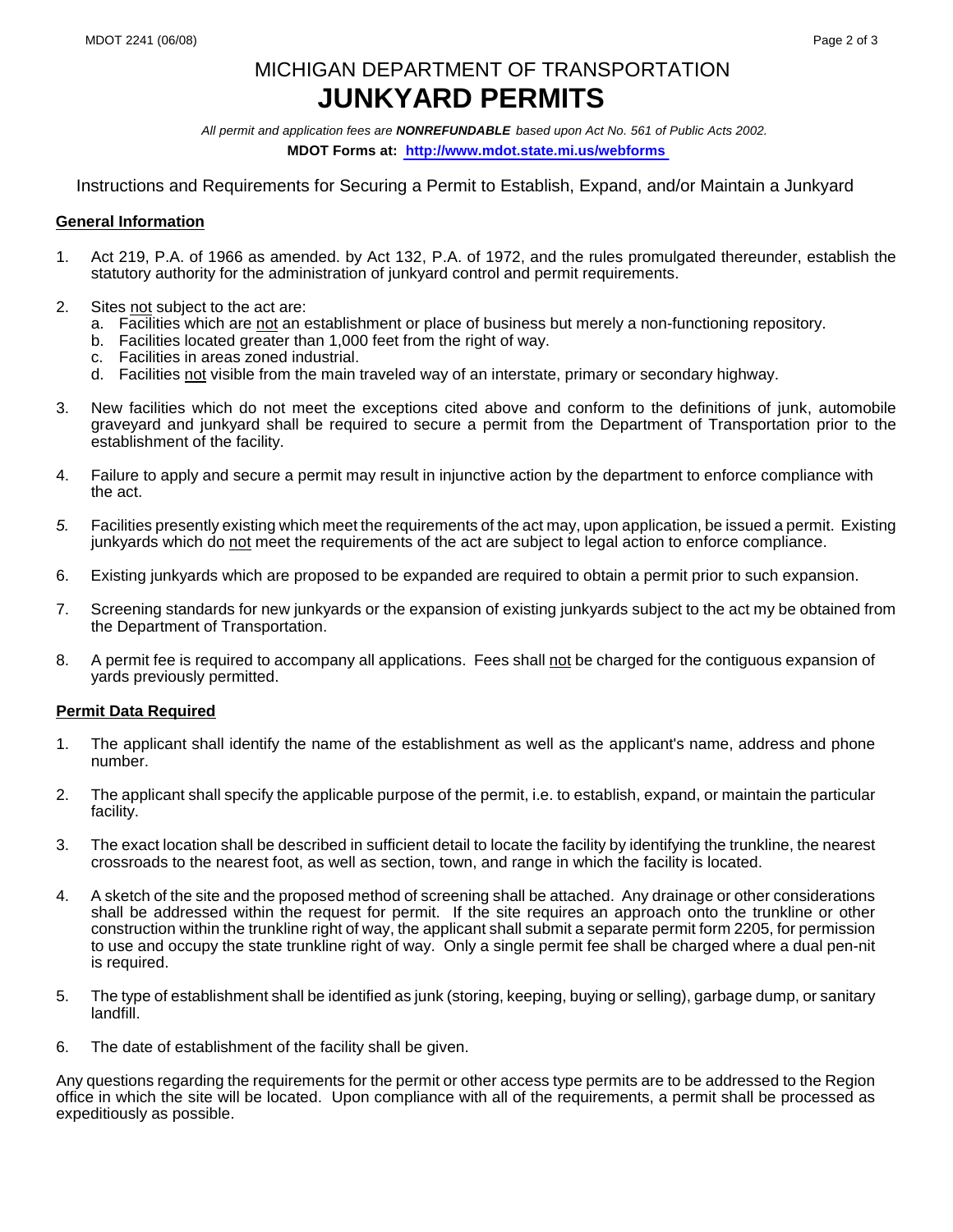# MICHIGAN DEPARTMENT OF TRANSPORTATION **JUNKYARD PERMITS**

*All permit and application fees are NONREFUNDABLE based upon Act No. 561 of Public Acts 2002.* **MDOT Forms at:<http://www.mdot.state.mi.us/webforms>**

Instructions and Requirements for Securing a Permit to Establish, Expand, and/or Maintain a Junkyard

### **General Information**

- 1. Act 219, P.A. of 1966 as amended. by Act 132, P.A. of 1972, and the rules promulgated thereunder, establish the statutory authority for the administration of junkyard control and permit requirements.
- 2. Sites not subject to the act are:
	- a. Facilities which are not an establishment or place of business but merely a non-functioning repository.
	- b. Facilities located greater than 1,000 feet from the right of way.
	- c. Facilities in areas zoned industrial.
	- d. Facilities not visible from the main traveled way of an interstate, primary or secondary highway.
- 3. New facilities which do not meet the exceptions cited above and conform to the definitions of junk, automobile graveyard and junkyard shall be required to secure a permit from the Department of Transportation prior to the establishment of the facility.
- 4. Failure to apply and secure a permit may result in injunctive action by the department to enforce compliance with the act.
- *5.* Facilities presently existing which meet the requirements of the act may, upon application, be issued a permit. Existing junkyards which do not meet the requirements of the act are subject to legal action to enforce compliance.
- 6. Existing junkyards which are proposed to be expanded are required to obtain a permit prior to such expansion.
- 7. Screening standards for new junkyards or the expansion of existing junkyards subject to the act my be obtained from the Department of Transportation.
- 8. A permit fee is required to accompany all applications. Fees shall not be charged for the contiguous expansion of yards previously permitted.

## **Permit Data Required**

- 1. The applicant shall identify the name of the establishment as well as the applicant's name, address and phone number.
- 2. The applicant shall specify the applicable purpose of the permit, i.e. to establish, expand, or maintain the particular facility.
- 3. The exact location shall be described in sufficient detail to locate the facility by identifying the trunkline, the nearest crossroads to the nearest foot, as well as section, town, and range in which the facility is located.
- 4. A sketch of the site and the proposed method of screening shall be attached. Any drainage or other considerations shall be addressed within the request for permit. If the site requires an approach onto the trunkline or other construction within the trunkline right of way, the applicant shall submit a separate permit form 2205, for permission to use and occupy the state trunkline right of way. Only a single permit fee shall be charged where a dual pen-nit is required.
- 5. The type of establishment shall be identified as junk (storing, keeping, buying or selling), garbage dump, or sanitary landfill.
- 6. The date of establishment of the facility shall be given.

Any questions regarding the requirements for the permit or other access type permits are to be addressed to the Region office in which the site will be located. Upon compliance with all of the requirements, a permit shall be processed as expeditiously as possible.